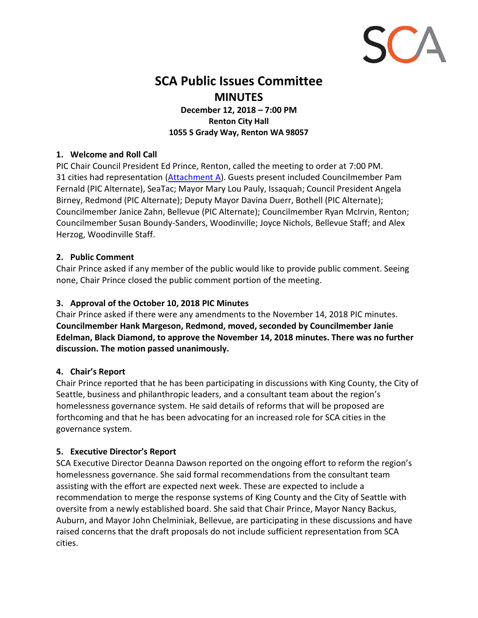

# **SCA Public Issues Committee MINUTES**

**December 12, 2018 – 7:00 PM Renton City Hall 1055 S Grady Way, Renton WA 98057**

## **1. Welcome and Roll Call**

PIC Chair Council President Ed Prince, Renton, called the meeting to order at 7:00 PM. 31 cities had representation [\(Attachment A](#page-6-0)). Guests present included Councilmember Pam Fernald (PIC Alternate), SeaTac; Mayor Mary Lou Pauly, Issaquah; Council President Angela Birney, Redmond (PIC Alternate); Deputy Mayor Davina Duerr, Bothell (PIC Alternate); Councilmember Janice Zahn, Bellevue (PIC Alternate); Councilmember Ryan McIrvin, Renton; Councilmember Susan Boundy-Sanders, Woodinville; Joyce Nichols, Bellevue Staff; and Alex Herzog, Woodinville Staff.

## **2. Public Comment**

Chair Prince asked if any member of the public would like to provide public comment. Seeing none, Chair Prince closed the public comment portion of the meeting.

## **3. Approval of the October 10, 2018 PIC Minutes**

Chair Prince asked if there were any amendments to the November 14, 2018 PIC minutes. **Councilmember Hank Margeson, Redmond, moved, seconded by Councilmember Janie Edelman, Black Diamond, to approve the November 14, 2018 minutes. There was no further discussion. The motion passed unanimously.**

## **4. Chair's Report**

Chair Prince reported that he has been participating in discussions with King County, the City of Seattle, business and philanthropic leaders, and a consultant team about the region's homelessness governance system. He said details of reforms that will be proposed are forthcoming and that he has been advocating for an increased role for SCA cities in the governance system.

## **5. Executive Director's Report**

SCA Executive Director Deanna Dawson reported on the ongoing effort to reform the region's homelessness governance. She said formal recommendations from the consultant team assisting with the effort are expected next week. These are expected to include a recommendation to merge the response systems of King County and the City of Seattle with oversite from a newly established board. She said that Chair Prince, Mayor Nancy Backus, Auburn, and Mayor John Chelminiak, Bellevue, are participating in these discussions and have raised concerns that the draft proposals do not include sufficient representation from SCA cities.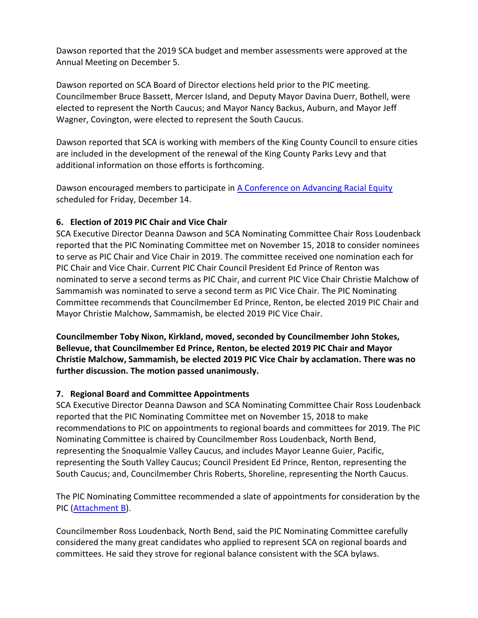Dawson reported that the 2019 SCA budget and member assessments were approved at the Annual Meeting on December 5.

Dawson reported on SCA Board of Director elections held prior to the PIC meeting. Councilmember Bruce Bassett, Mercer Island, and Deputy Mayor Davina Duerr, Bothell, were elected to represent the North Caucus; and Mayor Nancy Backus, Auburn, and Mayor Jeff Wagner, Covington, were elected to represent the South Caucus.

Dawson reported that SCA is working with members of the King County Council to ensure cities are included in the development of the renewal of the King County Parks Levy and that additional information on those efforts is forthcoming.

Dawson encouraged members to participate i[n A Conference on Advancing Racial Equity](https://www.eventbrite.com/e/grei-presents-a-conference-on-advancing-racial-equity-tickets-49179753968) scheduled for Friday, December 14.

## **6. Election of 2019 PIC Chair and Vice Chair**

SCA Executive Director Deanna Dawson and SCA Nominating Committee Chair Ross Loudenback reported that the PIC Nominating Committee met on November 15, 2018 to consider nominees to serve as PIC Chair and Vice Chair in 2019. The committee received one nomination each for PIC Chair and Vice Chair. Current PIC Chair Council President Ed Prince of Renton was nominated to serve a second terms as PIC Chair, and current PIC Vice Chair Christie Malchow of Sammamish was nominated to serve a second term as PIC Vice Chair. The PIC Nominating Committee recommends that Councilmember Ed Prince, Renton, be elected 2019 PIC Chair and Mayor Christie Malchow, Sammamish, be elected 2019 PIC Vice Chair.

**Councilmember Toby Nixon, Kirkland, moved, seconded by Councilmember John Stokes, Bellevue, that Councilmember Ed Prince, Renton, be elected 2019 PIC Chair and Mayor Christie Malchow, Sammamish, be elected 2019 PIC Vice Chair by acclamation. There was no further discussion. The motion passed unanimously.**

## **7. Regional Board and Committee Appointments**

SCA Executive Director Deanna Dawson and SCA Nominating Committee Chair Ross Loudenback reported that the PIC Nominating Committee met on November 15, 2018 to make recommendations to PIC on appointments to regional boards and committees for 2019. The PIC Nominating Committee is chaired by Councilmember Ross Loudenback, North Bend, representing the Snoqualmie Valley Caucus, and includes Mayor Leanne Guier, Pacific, representing the South Valley Caucus; Council President Ed Prince, Renton, representing the South Caucus; and, Councilmember Chris Roberts, Shoreline, representing the North Caucus.

The PIC Nominating Committee recommended a slate of appointments for consideration by the PIC [\(Attachment B\)](#page-7-0).

Councilmember Ross Loudenback, North Bend, said the PIC Nominating Committee carefully considered the many great candidates who applied to represent SCA on regional boards and committees. He said they strove for regional balance consistent with the SCA bylaws.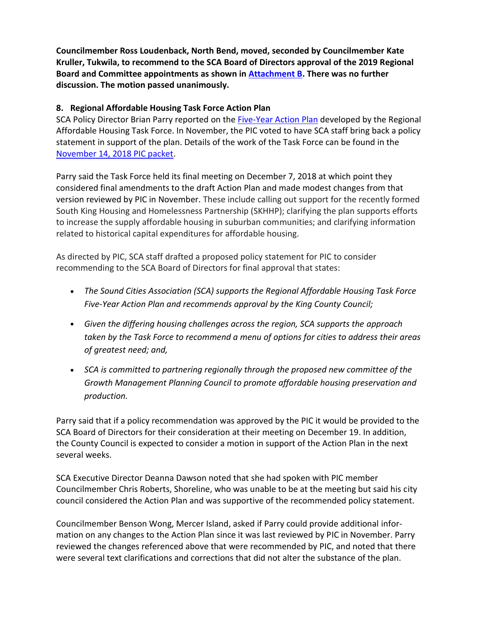**Councilmember Ross Loudenback, North Bend, moved, seconded by Councilmember Kate Kruller, Tukwila, to recommend to the SCA Board of Directors approval of the 2019 Regional Board and Committee appointments as shown i[n Attachment B.](#page-7-0) There was no further discussion. The motion passed unanimously.**

## **8. Regional Affordable Housing Task Force Action Plan**

SCA Policy Director Brian Parry reported on the [Five-Year Action Plan](http://soundcities.org/wp-content/uploads/2018/12/Affordable-Housing-Action-plan-final-12-10.pdf) developed by the Regional Affordable Housing Task Force. In November, the PIC voted to have SCA staff bring back a policy statement in support of the plan. Details of the work of the Task Force can be found in the [November 14, 2018 PIC packet.](http://soundcities.org/wp-content/uploads/2013/01/PIC-Packet-November-14-2018-1.pdf)

Parry said the Task Force held its final meeting on December 7, 2018 at which point they considered final amendments to the draft Action Plan and made modest changes from that version reviewed by PIC in November. These include calling out support for the recently formed South King Housing and Homelessness Partnership (SKHHP); clarifying the plan supports efforts to increase the supply affordable housing in suburban communities; and clarifying information related to historical capital expenditures for affordable housing.

As directed by PIC, SCA staff drafted a proposed policy statement for PIC to consider recommending to the SCA Board of Directors for final approval that states:

- *The Sound Cities Association (SCA) supports the Regional Affordable Housing Task Force Five-Year Action Plan and recommends approval by the King County Council;*
- *Given the differing housing challenges across the region, SCA supports the approach taken by the Task Force to recommend a menu of options for cities to address their areas of greatest need; and,*
- *SCA is committed to partnering regionally through the proposed new committee of the Growth Management Planning Council to promote affordable housing preservation and production.*

Parry said that if a policy recommendation was approved by the PIC it would be provided to the SCA Board of Directors for their consideration at their meeting on December 19. In addition, the County Council is expected to consider a motion in support of the Action Plan in the next several weeks.

SCA Executive Director Deanna Dawson noted that she had spoken with PIC member Councilmember Chris Roberts, Shoreline, who was unable to be at the meeting but said his city council considered the Action Plan and was supportive of the recommended policy statement.

Councilmember Benson Wong, Mercer Island, asked if Parry could provide additional information on any changes to the Action Plan since it was last reviewed by PIC in November. Parry reviewed the changes referenced above that were recommended by PIC, and noted that there were several text clarifications and corrections that did not alter the substance of the plan.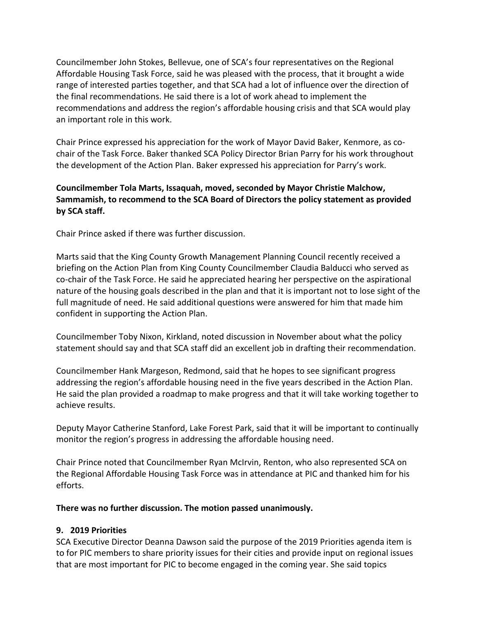Councilmember John Stokes, Bellevue, one of SCA's four representatives on the Regional Affordable Housing Task Force, said he was pleased with the process, that it brought a wide range of interested parties together, and that SCA had a lot of influence over the direction of the final recommendations. He said there is a lot of work ahead to implement the recommendations and address the region's affordable housing crisis and that SCA would play an important role in this work.

Chair Prince expressed his appreciation for the work of Mayor David Baker, Kenmore, as cochair of the Task Force. Baker thanked SCA Policy Director Brian Parry for his work throughout the development of the Action Plan. Baker expressed his appreciation for Parry's work.

## **Councilmember Tola Marts, Issaquah, moved, seconded by Mayor Christie Malchow, Sammamish, to recommend to the SCA Board of Directors the policy statement as provided by SCA staff.**

Chair Prince asked if there was further discussion.

Marts said that the King County Growth Management Planning Council recently received a briefing on the Action Plan from King County Councilmember Claudia Balducci who served as co-chair of the Task Force. He said he appreciated hearing her perspective on the aspirational nature of the housing goals described in the plan and that it is important not to lose sight of the full magnitude of need. He said additional questions were answered for him that made him confident in supporting the Action Plan.

Councilmember Toby Nixon, Kirkland, noted discussion in November about what the policy statement should say and that SCA staff did an excellent job in drafting their recommendation.

Councilmember Hank Margeson, Redmond, said that he hopes to see significant progress addressing the region's affordable housing need in the five years described in the Action Plan. He said the plan provided a roadmap to make progress and that it will take working together to achieve results.

Deputy Mayor Catherine Stanford, Lake Forest Park, said that it will be important to continually monitor the region's progress in addressing the affordable housing need.

Chair Prince noted that Councilmember Ryan McIrvin, Renton, who also represented SCA on the Regional Affordable Housing Task Force was in attendance at PIC and thanked him for his efforts.

### **There was no further discussion. The motion passed unanimously.**

## **9. 2019 Priorities**

SCA Executive Director Deanna Dawson said the purpose of the 2019 Priorities agenda item is to for PIC members to share priority issues for their cities and provide input on regional issues that are most important for PIC to become engaged in the coming year. She said topics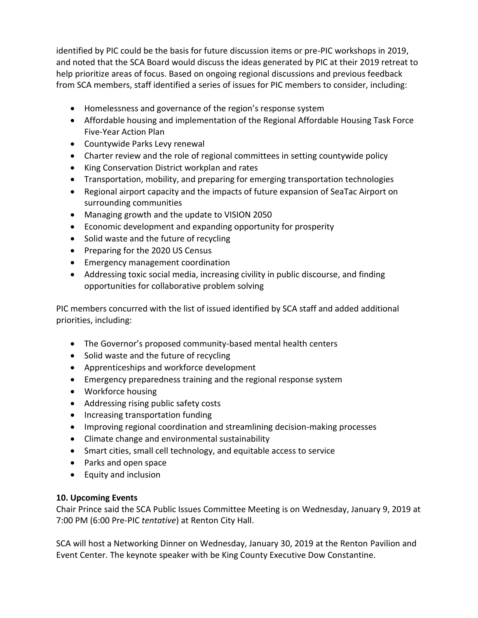identified by PIC could be the basis for future discussion items or pre-PIC workshops in 2019, and noted that the SCA Board would discuss the ideas generated by PIC at their 2019 retreat to help prioritize areas of focus. Based on ongoing regional discussions and previous feedback from SCA members, staff identified a series of issues for PIC members to consider, including:

- Homelessness and governance of the region's response system
- Affordable housing and implementation of the Regional Affordable Housing Task Force Five-Year Action Plan
- Countywide Parks Levy renewal
- Charter review and the role of regional committees in setting countywide policy
- King Conservation District workplan and rates
- Transportation, mobility, and preparing for emerging transportation technologies
- Regional airport capacity and the impacts of future expansion of SeaTac Airport on surrounding communities
- Managing growth and the update to VISION 2050
- Economic development and expanding opportunity for prosperity
- Solid waste and the future of recycling
- Preparing for the 2020 US Census
- Emergency management coordination
- Addressing toxic social media, increasing civility in public discourse, and finding opportunities for collaborative problem solving

PIC members concurred with the list of issued identified by SCA staff and added additional priorities, including:

- The Governor's proposed community-based mental health centers
- Solid waste and the future of recycling
- Apprenticeships and workforce development
- Emergency preparedness training and the regional response system
- Workforce housing
- Addressing rising public safety costs
- Increasing transportation funding
- Improving regional coordination and streamlining decision-making processes
- Climate change and environmental sustainability
- Smart cities, small cell technology, and equitable access to service
- Parks and open space
- Equity and inclusion

## **10. Upcoming Events**

Chair Prince said the SCA Public Issues Committee Meeting is on Wednesday, January 9, 2019 at 7:00 PM (6:00 Pre-PIC *tentative*) at Renton City Hall.

SCA will host a Networking Dinner on Wednesday, January 30, 2019 at the Renton Pavilion and Event Center. The keynote speaker with be King County Executive Dow Constantine.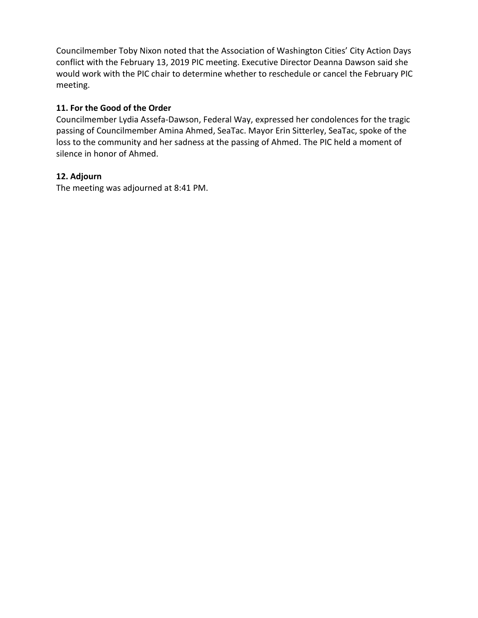Councilmember Toby Nixon noted that the Association of Washington Cities' City Action Days conflict with the February 13, 2019 PIC meeting. Executive Director Deanna Dawson said she would work with the PIC chair to determine whether to reschedule or cancel the February PIC meeting.

## **11. For the Good of the Order**

Councilmember Lydia Assefa-Dawson, Federal Way, expressed her condolences for the tragic passing of Councilmember Amina Ahmed, SeaTac. Mayor Erin Sitterley, SeaTac, spoke of the loss to the community and her sadness at the passing of Ahmed. The PIC held a moment of silence in honor of Ahmed.

## **12. Adjourn**

The meeting was adjourned at 8:41 PM.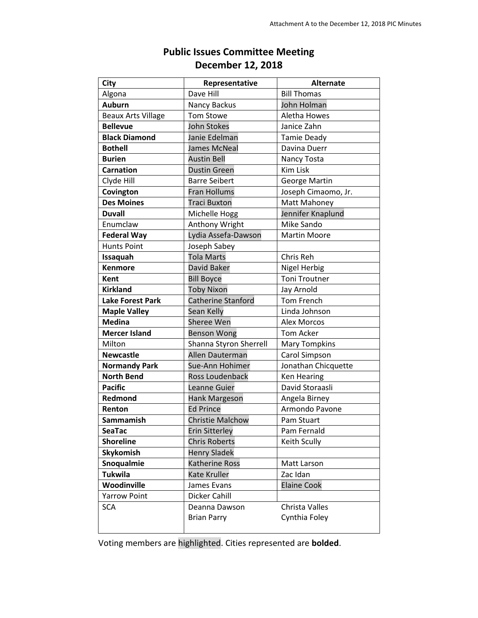<span id="page-6-0"></span>

| <b>City</b>               | Representative            | <b>Alternate</b>     |
|---------------------------|---------------------------|----------------------|
| Algona                    | Dave Hill                 | <b>Bill Thomas</b>   |
| <b>Auburn</b>             | Nancy Backus              | John Holman          |
| <b>Beaux Arts Village</b> | <b>Tom Stowe</b>          | Aletha Howes         |
| <b>Bellevue</b>           | <b>John Stokes</b>        | Janice Zahn          |
| <b>Black Diamond</b>      | Janie Edelman             | <b>Tamie Deady</b>   |
| <b>Bothell</b>            | James McNeal              | Davina Duerr         |
| <b>Burien</b>             | <b>Austin Bell</b>        | Nancy Tosta          |
| <b>Carnation</b>          | <b>Dustin Green</b>       | <b>Kim Lisk</b>      |
| Clyde Hill                | <b>Barre Seibert</b>      | George Martin        |
| Covington                 | <b>Fran Hollums</b>       | Joseph Cimaomo, Jr.  |
| <b>Des Moines</b>         | <b>Traci Buxton</b>       | Matt Mahoney         |
| <b>Duvall</b>             | Michelle Hogg             | Jennifer Knaplund    |
| Enumclaw                  | Anthony Wright            | Mike Sando           |
| <b>Federal Way</b>        | Lydia Assefa-Dawson       | <b>Martin Moore</b>  |
| <b>Hunts Point</b>        | Joseph Sabey              |                      |
| Issaquah                  | <b>Tola Marts</b>         | Chris Reh            |
| <b>Kenmore</b>            | David Baker               | <b>Nigel Herbig</b>  |
| <b>Kent</b>               | <b>Bill Boyce</b>         | <b>Toni Troutner</b> |
| <b>Kirkland</b>           | <b>Toby Nixon</b>         | Jay Arnold           |
| <b>Lake Forest Park</b>   | <b>Catherine Stanford</b> | Tom French           |
| <b>Maple Valley</b>       | Sean Kelly                | Linda Johnson        |
| <b>Medina</b>             | Sheree Wen                | <b>Alex Morcos</b>   |
| <b>Mercer Island</b>      | <b>Benson Wong</b>        | <b>Tom Acker</b>     |
| Milton                    | Shanna Styron Sherrell    | <b>Mary Tompkins</b> |
| <b>Newcastle</b>          | Allen Dauterman           | Carol Simpson        |
| <b>Normandy Park</b>      | Sue-Ann Hohimer           | Jonathan Chicquette  |
| <b>North Bend</b>         | Ross Loudenback           | <b>Ken Hearing</b>   |
| <b>Pacific</b>            | Leanne Guier              | David Storaasli      |
| Redmond                   | Hank Margeson             | Angela Birney        |
| Renton                    | <b>Ed Prince</b>          | Armondo Pavone       |
| <b>Sammamish</b>          | <b>Christie Malchow</b>   | Pam Stuart           |
| <b>SeaTac</b>             | <b>Erin Sitterley</b>     | Pam Fernald          |
| <b>Shoreline</b>          | <b>Chris Roberts</b>      | Keith Scully         |
| Skykomish                 | <b>Henry Sladek</b>       |                      |
| Snoqualmie                | <b>Katherine Ross</b>     | Matt Larson          |
| <b>Tukwila</b>            | <b>Kate Kruller</b>       | Zac Idan             |
| Woodinville               | James Evans               | <b>Elaine Cook</b>   |
| <b>Yarrow Point</b>       | Dicker Cahill             |                      |
| <b>SCA</b>                | Deanna Dawson             | Christa Valles       |
|                           | <b>Brian Parry</b>        | Cynthia Foley        |
|                           |                           |                      |

## **Public Issues Committee Meeting December 12, 2018**

Voting members are highlighted. Cities represented are **bolded**.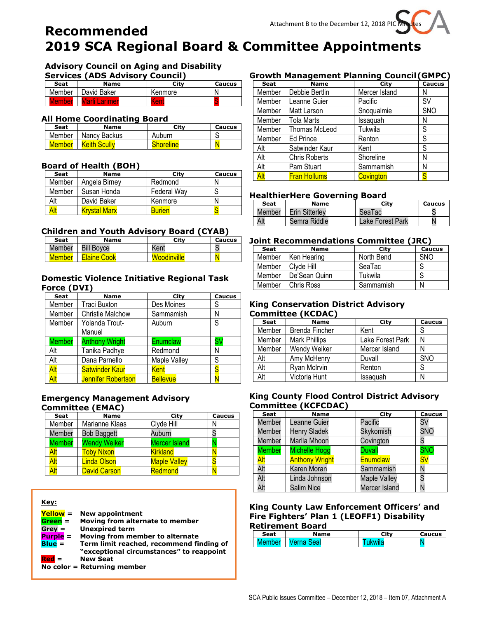# <span id="page-7-0"></span>**Recommended 2019 SCA Regional Board & Committee Appointments**

## **Advisory Council on Aging and Disability**

**Services (ADS Advisory Council)**

| Seat   | <b>Name</b>   | Citv    | Caucus |
|--------|---------------|---------|--------|
| Member | David Baker   | Kenmore |        |
| Member | Marli Larimer | Kent    |        |

### **All Home Coordinating Board**

| Seat   | Name                  | Citv             | Caucus |
|--------|-----------------------|------------------|--------|
|        | Member   Nancy Backus | Auburn           |        |
| Member | <b>Keith Scully</b>   | <b>Shoreline</b> |        |

### **Board of Health (BOH)**

| Seat   | <b>Name</b>         | City          | Caucus |
|--------|---------------------|---------------|--------|
| Member | Angela Birney       | Redmond       |        |
| Member | Susan Honda         | Federal Way   |        |
| Alt    | David Baker         | Kenmore       |        |
| Alt    | <b>Krystal Marx</b> | <b>Burien</b> |        |

### **Children and Youth Advisory Board (CYAB)**

| Seat          | <b>Name</b>        | Citv               | <b>Caucus</b> |
|---------------|--------------------|--------------------|---------------|
| Member        | <b>Bill Boyce</b>  | Kent               |               |
| <b>Member</b> | <b>Elaine Cook</b> | <b>Woodinville</b> |               |

### **Domestic Violence Initiative Regional Task Force (DVI)**

| <b>Seat</b>   | <b>Name</b>               | City            | <b>Caucus</b> |
|---------------|---------------------------|-----------------|---------------|
| Member        | <b>Traci Buxton</b>       | Des Moines      | S             |
| Member        | <b>Christie Malchow</b>   | Sammamish       | N             |
| Member        | Yolanda Trout-            | Auburn          | S             |
|               | Manuel                    |                 |               |
| <b>Member</b> | <b>Anthony Wright</b>     | Enumclaw        | S٧            |
| Alt           | Tanika Padhye             | Redmond         | Ν             |
| Alt           | Dana Parnello             | Maple Valley    | S             |
| Alt           | <b>Satwinder Kaur</b>     | Kent            | S             |
| Alt           | <b>Jennifer Robertson</b> | <b>Bellevue</b> |               |

### **Emergency Management Advisory Committee (EMAC)**

| <b>Seat</b>   | <b>Name</b>         | City                 | <b>Caucus</b> |
|---------------|---------------------|----------------------|---------------|
| Member        | Marianne Klaas      | Clyde Hill           | N             |
| Member        | <b>Bob Baggett</b>  | Auburn               |               |
| <b>Member</b> | <b>Wendy Weiker</b> | <b>Mercer Island</b> |               |
| Alt           | <b>Toby Nixon</b>   | <b>Kirkland</b>      |               |
| Alt           | <b>Linda Olson</b>  | <b>Maple Valley</b>  |               |
| Alt           | <b>David Carson</b> | Redmond              |               |
|               |                     |                      |               |

### **Key:**

| Yellow = |  | <b>New appointment</b> |  |
|----------|--|------------------------|--|
|          |  |                        |  |

- **Green = Moving from alternate to member**
- **Grey = Unexpired term**
- **Purple = Moving from member to alternate**
- **Blue = Term limit reached, recommend finding of "exceptional circumstances" to reappoint Red = New Seat**
- **No color = Returning member**

## **Growth Management Planning Council(GMPC)**

| <b>Seat</b> | <b>Name</b>          | City          | <b>Caucus</b> |
|-------------|----------------------|---------------|---------------|
| Member      | Debbie Bertlin       | Mercer Island | Ν             |
| Member      | Leanne Guier         | Pacific       | S٧            |
| Member      | Matt Larson          | Snoqualmie    | <b>SNO</b>    |
| Member      | <b>Tola Marts</b>    | Issaquah      | N             |
| Member      | <b>Thomas McLeod</b> | Tukwila       | S             |
| Member      | <b>Ed Prince</b>     | Renton        | S             |
| Alt         | Satwinder Kaur       | Kent          | S             |
| Alt         | <b>Chris Roberts</b> | Shoreline     | Ν             |
| Alt         | Pam Stuart           | Sammamish     | Ν             |
| <b>Alt</b>  | <b>Fran Hollums</b>  | Covington     |               |

## **HealthierHere Governing Board**

| Seat   | <b>Name</b>    | Citv             | Caucus |
|--------|----------------|------------------|--------|
| Member | Erin Sitterlev | SeaTac           |        |
| Alt    | Semra Riddle   | Lake Forest Park |        |

### **Joint Recommendations Committee (JRC)**

| Seat   | <b>Name</b>   | City       | <b>Caucus</b> |
|--------|---------------|------------|---------------|
| Member | Ken Hearing   | North Bend | <b>SNO</b>    |
| Member | Clyde Hill    | SeaTac     |               |
| Member | De'Sean Quinn | Tukwila    |               |
| Member | Chris Ross    | Sammamish  | N             |

### **King Conservation District Advisory Committee (KCDAC)**

| <b>Seat</b> | <b>Name</b>           | City             | <b>Caucus</b> |  |  |
|-------------|-----------------------|------------------|---------------|--|--|
| Member      | <b>Brenda Fincher</b> | Kent             |               |  |  |
| Member      | Mark Phillips         | Lake Forest Park |               |  |  |
| Member      | Wendy Weiker          | Mercer Island    |               |  |  |
| Alt         | Amy McHenry           | Duvall           | <b>SNO</b>    |  |  |
| Alt         | Ryan McIrvin          | Renton           | S             |  |  |
| Alt         | Victoria Hunt         | Issaquah         |               |  |  |

### **King County Flood Control District Advisory Committee (KCFCDAC)**

| <b>Seat</b>   | <b>Name</b>           | City                | <b>Caucus</b>          |
|---------------|-----------------------|---------------------|------------------------|
| Member        | Leanne Guier          | Pacific             | S٧                     |
| Member        | <b>Henry Sladek</b>   | Skykomish           | <b>SNO</b>             |
| Member        | Marlla Mhoon          | Covington           |                        |
| <b>Member</b> | <b>Michelle Hogg</b>  | <b>Duvall</b>       | <b>SNO</b>             |
| Alt           | <b>Anthony Wright</b> | <b>Enumclaw</b>     | $\textsf{S}\textsf{V}$ |
| Alt           | Karen Moran           | Sammamish           |                        |
| Alt           | Linda Johnson         | <b>Maple Valley</b> |                        |
| Alt           | <b>Salim Nice</b>     | Mercer Island       |                        |

#### **King County Law Enforcement Officers' and Fire Fighters' Plan 1 (LEOFF1) Disability Retirement Board**

| Seat | <b>Name</b> | <b>City</b> | <b>Caucus</b> |
|------|-------------|-------------|---------------|
|      | امہ         |             |               |